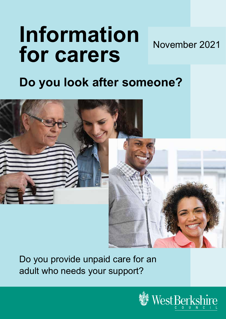# **Information for carers** November 2021

# **Do you look after someone?**



Do you provide unpaid care for an adult who needs your support?

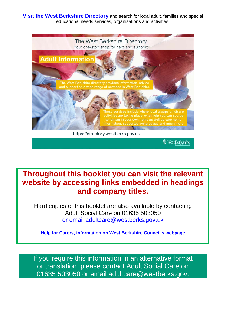**Visit the [West Berkshire Directory](https://directory.westberks.gov.uk/kb5/westberkshire/directory/home.page)** and search for local adult, families and special educational needs services, organisations and activities.



**Throughout this booklet you can visit the relevant website by accessing links embedded in headings and company titles.**

Hard copies of this booklet are also available by contacting Adult Social Care on 01635 503050 [or email adultcare@westberks.gov.uk](mailto:or%20email%20adultcare@westberks.gov.uk)

**[Help for Carers, information on West Berkshire Council's webpage](https://info.westberks.gov.uk/carerssupport)**

If you require this information in an alternative format or translation, please contact Adult Social Care on 01635 503050 or email adultcare@westberks.gov.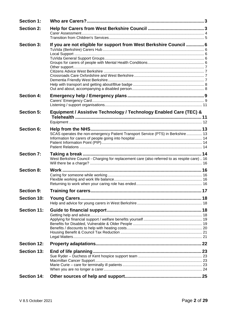| <b>Section 1:</b>  |                                                                                               |  |
|--------------------|-----------------------------------------------------------------------------------------------|--|
| <b>Section 2:</b>  |                                                                                               |  |
|                    |                                                                                               |  |
| <b>Section 3:</b>  | If you are not eligible for support from West Berkshire Council  6                            |  |
|                    |                                                                                               |  |
|                    |                                                                                               |  |
|                    |                                                                                               |  |
|                    |                                                                                               |  |
|                    |                                                                                               |  |
|                    |                                                                                               |  |
|                    |                                                                                               |  |
|                    |                                                                                               |  |
| <b>Section 4:</b>  |                                                                                               |  |
|                    |                                                                                               |  |
|                    |                                                                                               |  |
| <b>Section 5:</b>  | Equipment / Assistive Technology / Technology Enabled Care (TEC) &                            |  |
|                    |                                                                                               |  |
| <b>Section 6:</b>  |                                                                                               |  |
|                    | SCAS operates the non-emergency Patient Transport Service (PTS) in Berkshire 13               |  |
|                    |                                                                                               |  |
|                    |                                                                                               |  |
| <b>Section 7:</b>  |                                                                                               |  |
|                    | West Berkshire Council - Charging for replacement care (also referred to as respite care)  16 |  |
|                    |                                                                                               |  |
| <b>Section 8:</b>  |                                                                                               |  |
|                    |                                                                                               |  |
|                    |                                                                                               |  |
|                    |                                                                                               |  |
| <b>Section 9:</b>  |                                                                                               |  |
| <b>Section 10:</b> |                                                                                               |  |
|                    |                                                                                               |  |
| <b>Section 11:</b> |                                                                                               |  |
|                    |                                                                                               |  |
|                    |                                                                                               |  |
|                    |                                                                                               |  |
|                    |                                                                                               |  |
|                    |                                                                                               |  |
| <b>Section 12:</b> |                                                                                               |  |
| <b>Section 13:</b> |                                                                                               |  |
|                    |                                                                                               |  |
|                    |                                                                                               |  |
|                    |                                                                                               |  |
|                    |                                                                                               |  |
| <b>Section 14:</b> |                                                                                               |  |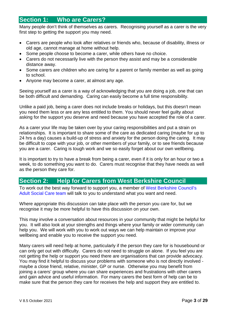### <span id="page-3-0"></span>**Section 1: Who are Carers?**

Many people don't think of themselves as carers. Recognising yourself as a carer is the very first step to getting the support you may need.

- Carers are people who look after relatives or friends who, because of disability, illness or old age, cannot manage at home without help.
- Some people choose to become a carer, while others have no choice.
- Carers do not necessarily live with the person they assist and may be a considerable distance away.
- Some carers are children who are caring for a parent or family member as well as going to school.
- Anyone may become a carer, at almost any age.

Seeing yourself as a carer is a way of acknowledging that you are doing a job, one that can be both difficult and demanding. Caring can easily become a full time responsibility.

Unlike a paid job, being a carer does not include breaks or holidays, but this doesn't mean you need them less or are any less entitled to them. You should never feel guilty about asking for the support you deserve and need because you have accepted the role of a carer.

As a carer your life may be taken over by your caring responsibilities and put a strain on relationships. It is important to share some of the care as dedicated caring (maybe for up to 24 hrs a day) causes a build-up of stress and anxiety for the person doing the caring. It may be difficult to cope with your job, or other members of your family, or to see friends because you are a carer. Caring is tough work and we so easily forget about our own wellbeing.

It is important to try to have a break from being a carer, even if it is only for an hour or two a week, to do something you want to do. Carers must recognise that they have needs as well as the person they care for.

### <span id="page-3-1"></span>**Section 2: Help for Carers from West Berkshire Council**

To work out the best way forward to support you, a member of [West Berkshire Council's](https://info.westberks.gov.uk/carerssupport) [Adult Social Care team](https://info.westberks.gov.uk/carerssupport) will talk to you to understand what you want and need.

Where appropriate this discussion can take place with the person you care for, but we recognise it may be more helpful to have this discussion on your own.

This may involve a conversation about resources in your community that might be helpful for you. It will also look at your strengths and things where your family or wider community can help you. We will work with you to work out ways we can help maintain or improve your wellbeing and enable you to receive the support you need.

Many carers will need help at home, particularly if the person they care for is housebound or can only get out with difficulty. Carers do not need to struggle on alone. If you feel you are not getting the help or support you need there are organisations that can provide advocacy. You may find it helpful to discuss your problems with someone who is not directly involved maybe a close friend, relative, minister, GP or nurse. Otherwise you may benefit from joining a carers' group where you can share experiences and frustrations with other carers and gain advice and useful information. For many carers the best form of help can be to make sure that the person they care for receives the help and support they are entitled to.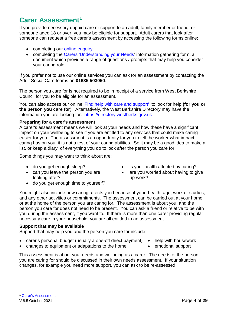# <span id="page-4-0"></span>**Carer Assessment[1](#page-4-1)**

If you provide necessary unpaid care or support to an adult, family member or friend, or someone aged 18 or over, you may be eligible for support. Adult carers that look after someone can request a free carer's assessment by accessing the following forms online:

- completing our [online enquiry](https://www.westberks.gov.uk/adultenquiry)
- completing the [Carers 'Understanding your Needs'](https://info.westberks.gov.uk/CHttpHandler.ashx?id=44899&p=0) information gathering form, a document which provides a range of questions / prompts that may help you consider your caring role.

If you prefer not to use our online services you can ask for an assessment by contacting the Adult Social Care teams on **01635 503050**.

The person you care for is not required to be in receipt of a service from West Berkshire Council for you to be eligible for an assessment.

You can also access our online ['Find help with care and support'](https://www.westberks.gov.uk/helpwithcareandsupport) to look for help **(for you or the person you care for**). Alternatively, the West Berkshire Directory may have the information you are looking for. [https://directory.westberks.gov.uk](https://directory.westberks.gov.uk/)

#### **Preparing for a carer's assessment**

A carer's assessment means we will look at your needs and how these have a significant impact on your wellbeing to see if you are entitled to any services that could make caring easier for you. The assessment is an opportunity for you to tell the worker what impact caring has on you, it is not a test of your caring abilities. So it may be a good idea to make a list, or keep a diary, of everything you do to look after the person you care for.

Some things you may want to think about are:

- 
- can you leave the person you are looking after?
- do you get enough time to yourself?
- do you get enough sleep? is your health affected by caring?
	- are you worried about having to give up work?

You might also include how caring affects you because of your; health, age, work or studies, and any other activities or commitments. The assessment can be carried out at your home or at the home of the person you are caring for. The assessment is about you, and the person you care for does not need to be present. You can ask a friend or relative to be with you during the assessment, if you want to. If there is more than one carer providing regular necessary care in your household, you are all entitled to an assessment.

#### **Support that may be available**

Support that may help you and the person you care for include:

- carer's personal budget (usually a one-off direct payment) help with housework
- changes to equipment or adaptations to the home emotional support
- -

This assessment is about your needs and wellbeing as a carer. The needs of the person you are caring for should be discussed in their own needs assessment. If your situation changes, for example you need more support, you can ask to be re-assessed.

<span id="page-4-1"></span> <sup>1</sup> [Carer's Assessment](https://info.westberks.gov.uk/carerssupport)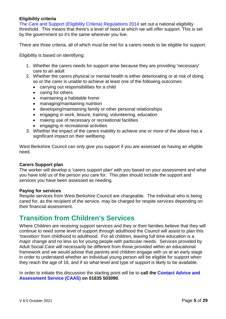#### **Eligibility criteria**

[The Care and Support \(Eligibility Criteria\) Regulations 2014](https://www.gov.uk/government/publications/care-act-statutory-guidance/care-and-support-statutory-guidance) set out a national eligibility threshold. This means that there's a level of need at which we will offer support. This is set by the government so it's the same wherever you live.

There are three criteria, all of which must be met for a carers needs to be eligible for support.

Eligibility is based on identifying:

- 1. Whether the carers needs for support arise because they are providing 'necessary' care to an adult
- 2. Whether the carers physical or mental health is either deteriorating or at risk of doing so or the carer is unable to achieve at least one of the following outcomes:
	- carrying out responsibilities for a child
	- caring for others
	- maintaining a habitable home
	- managing/maintaining nutrition
	- developing/maintaining family or other personal relationships
	- engaging in work, leisure, training, volunteering, education
	- making use of necessary or recreational facilities
	- engaging in recreational activities
- 3. Whether the impact of the carers inability to achieve one or more of the above has a significant impact on their wellbeing

West Berkshire Council can only give you support if you are assessed as having an eligible need.

#### **Carers Support plan**

The worker will develop a 'carers support plan' with you based on your assessment and what you have told us of the person you care for. This plan should include the support and services you have been assessed as needing.

#### **Paying for services**

Respite services from West Berkshire Council are chargeable. The individual who is being cared for, as the recipient of the service, may be charged for respite services depending on their [financial assessment.](https://info.westberks.gov.uk/chargesforyourcare)

### <span id="page-5-0"></span>**[Transition from Children's Services](http://fis.westberks.gov.uk/kb5/westberkshire/fsd/service.page?id=7iMySYDlKCo&familychannel=4-4-5)**

Where Children are receiving support services and they or their families believe that they will continue to need some level of support through adulthood the Council will assist to plan this 'transition' from childhood to adulthood. For all children, leaving full time education is a major change and no less so for young people with particular needs. Services provided by Adult Social Care will necessarily be different from those provided within an educational framework and we would advise that parents and children engage with us at an early stage in order to understand whether an individual young person will be eligible for support when they reach the age of 18, and if so what level and type of support is likely to be available.

In order to initiate this discussion the starting point will be to **call the [Contact Advice and](http://info.westberks.gov.uk/index.aspx?articleid=34612)  [Assessment Service](http://info.westberks.gov.uk/index.aspx?articleid=34612) (CAAS) on 01635 503090**.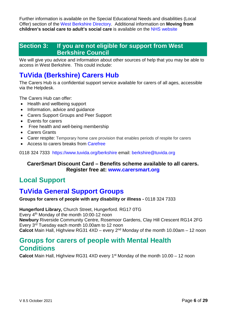Further information is available on the Special Educational Needs and disabilities (Local Offer) section of the [West Berkshire Directory.](https://directory.westberks.gov.uk/) Additional information on **Moving from children's social care to adult's social care** is available on the [NHS website](https://www.nhs.uk/conditions/social-care-and-support-guide/caring-for-children-and-young-people/moving-from-childrens-social-care-to-adults-social-care/)

### <span id="page-6-0"></span>**Section 3: If you are not eligible for support from West Berkshire Council**

We will give you advice and information about other sources of help that you may be able to access in West Berkshire. This could include:

# <span id="page-6-1"></span>**[TuVida \(Berkshire\)](https://www.tuvida.org/berkshire) Carers Hub**

The Carers Hub is a confidential support service available for carers of all ages, accessible via the Helpdesk.

The Carers Hub can offer:

- Health and wellbeing support
- Information, advice and guidance
- Carers Support Groups and Peer Support
- Events for carers
- Free health and well-being membership
- Carers Grants
- [Carer respite:](https://www.tuvida.org/Pages/Display.aspx?Title=carers-respite-berkshire) Temporary home care provision that enables periods of respite for carers
- Access to carers breaks from [Carefree](https://www.westberks.gov.uk/media/51552/Carers-Breaks-for-adults-from-CareFree/pdf/Carers_Carefree_Breaks.pdf?m=637699121159330000)

0118 324 7333 <https://www.tuvida.org/berkshire> email: [berkshire@tuvida.org](mailto:berkshire@tuvida.org)

### **CarerSmart Discount Card – Benefits scheme available to all carers. Register free at: [www.carersmart.org](http://www.carersmart.org/)**

# <span id="page-6-2"></span>**Local Support**

# <span id="page-6-3"></span>**[TuVida General Support Groups](https://www.tuvida.org/berkshire)**

**Groups for carers of people with any disability or illness -** 0118 324 7333

**Hungerford Library,** Church Street, Hungerford. RG17 0TG Every 4th Monday of the month 10:00-12 noon **Newbury** Riverside Community Centre, Rosemoor Gardens, Clay Hill Crescent RG14 2FG Every 3rd Tuesday each month 10.00am to 12 noon **Calcot** Main Hall, Highview RG31 4XD – every 2<sup>nd</sup> Monday of the month 10.00am – 12 noon

## <span id="page-6-4"></span>**Groups for carers of people with Mental Health Conditions**

**Calcot** Main Hall, Highview RG31 4XD every 1<sup>st</sup> Monday of the month 10.00 – 12 noon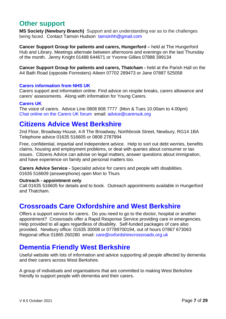### <span id="page-7-0"></span>**Other support**

**MS Society (Newbury Branch)** Support and an understanding ear as to the challenges being faced. Contact Tamsin Hudson [tamsinhh@gmail.com](mailto:tamsinhh@gmail.com)

**Cancer Support Group for patients and carers, Hungerford –** held at The Hungerford Hub and Library. Meetings alternate between afternoons and evenings on the last Thursday of the month. Jenny Knight 01488 644671 or Yvonne Gillies 07888 399134

**Cancer Support Group for patients and carers, Thatcham -** held at the Parish Hall on the A4 Bath Road (opposite Forresters) Aileen 07702 289473 or Jane 07887 525058

#### **[Carers information from](https://www.nhs.uk/conditions/social-care-and-support-guide/support-and-benefits-for-carers/) NHS UK**

Carers support and information online. Find advice on respite breaks, carers allowance and carers' assessments. Along with information for Young Carers.

#### **[Carers UK](http://www.carersuk.org/)**

The voice of carers. Advice Line 0808 808 7777 (Mon & Tues 10.00am to 4.00pm) [Chat online on the Carers UK forum](https://www.carersuk.org/help-and-advice/talk-to-us) email: [advice@carersuk.org](mailto:advice@carersuk.org)

### <span id="page-7-1"></span>**[Citizens Advice West Berkshire](https://citizensadvicewestberkshire.org.uk/)**

2nd Floor, Broadway House, 4-8 The Broadway, Northbrook Street, Newbury, RG14 1BA Telephone advice 01635 516605 or 0808 2787994

Free, confidential, impartial and independent advice. Help to sort out debt worries, benefits claims, housing and employment problems, or deal with queries about consumer or tax issues. Citizens Advice can advise on legal matters, answer questions about immigration, and have experience on family and personal matters too.

**Carers Advice Service -** Specialist advice for carers and people with disabilities. 01635 516609 (answerphone) open Mon to Thurs

#### **Outreach - appointment only**

Call 01635 516605 for details and to book. Outreach appointments available in Hungerford and Thatcham.

### <span id="page-7-2"></span>**[Crossroads Care Oxfordshire and West Berkshire](https://www.oxfordshirecrossroads.org.uk/)**

Offers a support service for carers. Do you need to go to the doctor, hospital or another appointment? Crossroads offer a Rapid Response Service providing care in emergencies. Help provided to all ages regardless of disability. Self-funded packages of care also provided. Newbury office: 01635 30008 or 07789700194, out of hours 07867 673063 Regional office 01865 260280 email: [care@oxfordshirecrossroads.org.uk](mailto:care@oxfordshirecrossroads.org.uk)

## <span id="page-7-3"></span>**[Dementia Friendly West Berkshire](https://dementiafriendlywestberkshire.co.uk/)**

Useful website with lots of information and advice supporting all people affected by dementia and their carers across West Berkshire.

A group of individuals and organisations that are committed to making West Berkshire friendly to support people with dementia and their carers.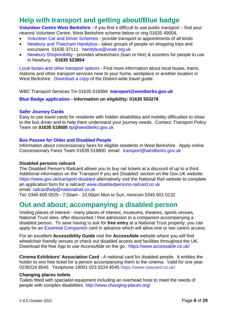# <span id="page-8-0"></span>**[Help with transport and getting about/Blue badge](https://info.westberks.gov.uk/publictransport)**

**[Volunteer Centre West Berkshire](https://www.volunteerwestberks.org.uk/) -** If you find it difficult to use public transport – find your nearest Volunteer Centre, West Berkshire scheme below or ring 01635 49004;

- [Volunteer Car and Driver Schemes](http://www.volunteerwestberks.org.uk/car_scheme.htm) provide transport to appointments of all kinds
- [Newbury and Thatcham Handybus](https://www.volunteerwestberks.org.uk/our-services/handybus/) takes groups of people on shopping trips and excursions 01635 37111 [handybus@vcwb.org.uk](mailto:handybus@vcwb.org.uk)
- [Newbury Shopmobility](https://www.volunteerwestberks.org.uk/our-services/shopmobility/) provides wheelchairs (loan or hire) & scooters for people to use in Newbury**. 01635 523854**

[Local buses and other transport options](http://info.westberks.gov.uk/publictransport) - Find more information about local buses, trains, stations and other transport services near to your home, workplace or another location in West Berkshire. [Download a copy](http://info.westberks.gov.uk/CHttpHandler.ashx?id=35916&p=0) of the District-wide travel guide.

WBC Transport Services Tm 01635 519394 **[transport@westberks.gov.uk](mailto:transport@westberks.gov.uk)** 

#### **[Blue Badge application](https://info.westberks.gov.uk/bluebadge) - Information on eligibility: 01635 503276**

#### **[Safer Journey Cards](https://info.westberks.gov.uk/saferjourneycard)**

Easy to use travel cards for residents with hidden disabilities and mobility difficulties to show to the bus driver and to help them understand your journey needs. Contact: Transport Policy Team on **01635 519505** [ltp@westberks.gov.uk](mailto:ltp@westberks.gov.uk)

#### **[Bus Passes for Older and Disabled People](https://info.westberks.gov.uk/concessionaryfares)**

Information about concessionary fares for eligible residents in West Berkshire. Apply online Concessionary Fares Team 01635 519800 email: [transport@westberks.gov.uk](mailto:transport@westberks.gov.uk)

#### **Disabled persons railcard**

The Disabled Person's Railcard allows you to buy rail tickets at a discount of up to a third. Additional information on the 'Transport if you are Disabled' section on the Gov.UK website. <https://www.gov.uk/transport-disabled> alternatively visit the National Rail website to complete an application form for a railcard: [www.disabledpersons-railcard.co.uk](http://www.disabledpersons-railcard.co.uk/)  email: [railcardhelp@nationalrail.co.uk](mailto:railcardhelp@nationalrail.co.uk?subject=Enquiry%20from%20the%20Disabled%20Persons%20Railcard%20website)

Tel: 0345 605 0525 - 7.00am - 10.00pm Mon to Sun, minicom 0345 601 0132

## <span id="page-8-1"></span>**Out and about; accompanying a disabled person**

Visiting places of interest - many places of interest, museums, theatres, sports venues, National Trust sites, offer discounted / free admission to a companion accompanying a disabled person. To save having to ask for **free entry** at a National Trust property, you can apply for an [Essential Companion](https://www.nationaltrust.org.uk/features/access-for-everyone) card in advance which will allow one or two carers access.

For an excellent **Accessibility Guide** visit the **AccessAble** website where you will find wheelchair friendly venues or check out disabled access and facilities throughout the UK. Download the free App to use AccessAble on the go. <https://www.accessable.co.uk/>

**Cinema Exhibitors' Association Card** - A national card for disabled people. It entitles the holder to one free ticket for a person accompanying them to the cinema. Valid for one year. 0239224 8545 Textphone 18001 023 9224 8545 <https://www.ceacard.co.uk/>

#### **Changing places toilets**

Toilets fitted with specialist equipment including an overhead hoist to meet the needs of people with complex disabilities.<http://www.changing-places.org/>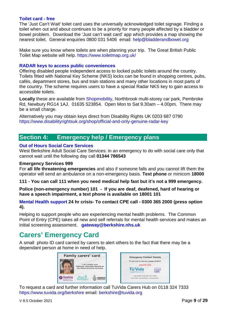#### **[Toilet card](https://www.bladderandbowel.org/help-information/just-cant-wait-card/) - free**

The 'Just Can't Wait' toilet card uses the universally acknowledged toilet signage. Finding a toilet when out and about continues to be a priority for many people affected by a bladder or bowel problem. Download the 'Just can't wait card' app which provides a map showing the nearest toilet. General enquiries 0800 031 5406 email: [help@bladderandbowel.org](mailto:help@bladderandbowel.org)

Make sure you know where toilets are when planning your trip. The Great British Public Toilet Map website will help.<https://www.toiletmap.org.uk/>

#### **[RADAR keys to access public conveniences](https://www.disabilityrightsuk.org/shop/official-and-only-genuine-radar-key)**

Offering disabled people independent access to locked public toilets around the country. Toilets fitted with National Key Scheme (NKS) locks can be found in shopping centres, pubs, cafés, department stores, bus and train stations and many other locations in most parts of the country. The scheme requires users to have a special Radar NKS key to gain access to accessible toilets.

**Locally** these are available from [Shopmobility,](http://volunteerwestberks.org.uk/our-services/shopmobility/) Northbrook multi-storey car park, Pembroke Rd, Newbury RG14 1AJ. 01635 523854. Open Mon to Sat 9.30am – 4.00pm. There may be a small charge.

Alternatively you may obtain keys direct from Disability Rights UK 0203 687 0790 <https://www.disabilityrightsuk.org/shop/official-and-only-genuine-radar-key>

### <span id="page-9-0"></span>**Section 4: Emergency help / Emergency plans**

#### **[Out of Hours Social Care Services](http://info.westberks.gov.uk/index.aspx?articleid=29212&contact=1)**

West Berkshire Adult Social Care Services: in an emergency to do with social care only that cannot wait until the following day call **01344 786543**

#### **Emergency Services 999**

For **all life threatening emergencies** and also if someone falls and you cannot lift them the operator will send an ambulance on a non-emergency basis. **Text phone** or minicom **18000**

**111 - You can call 111 when you need medical help fast but it's not a 999 emergency.**

**Police (non-emergency number) 101 - If you are deaf, deafened, hard of hearing or have a speech impairment, a text phone is available on 18001 101**

#### **[Mental Health support](https://www.berkshirehealthcare.nhs.uk/our-services/mental-health-and-wellbeing/crisis-resolution-and-home-treatment-team-crhtt/) 24 hr crisis- To contact CPE call - 0300 365 2000 (press option 4).**

Helping to support people who are experiencing mental health problems. The Common Point of Entry (CPE) takes all new and self referrals for mental health services and makes an initial screening assessment. **[gateway@berkshire.nhs.uk](mailto:gateway@berkshire.nhs.uk)**

## <span id="page-9-1"></span>**Carers' Emergency Card**

A small photo ID card carried by carers to alert others to the fact that there may be a dependant person at home in need of help.



To request a card and further information call TuVida Carers Hub on 0118 324 7333 <https://www.tuvida.org/berkshire> email: [berkshire@tuvida.org](mailto:berkshire@tuvida.org)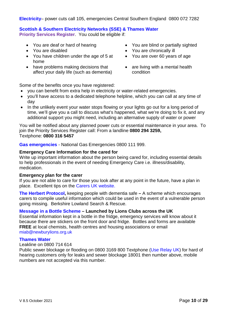**[Electricity](https://www.ssepd.co.uk/PowerCuts/)**– power cuts call 105, emergencies Central Southern England 0800 072 7282

#### **[Scottish & Southern Electricity Networks \(SSE\) & Thames Water](https://www.ssen.co.uk/PSR/Thameswater/)**

**Priority Services Register**. You could be eligible if:

- 
- 
- You have children under the age of 5 at home
- have problems making decisions that affect your daily life (such as dementia)
- You are deaf or hard of hearing You are blind or partially sighted
- You are disabled **•** You are chronically ill
	- You are over 60 years of age
	- are living with a mental health condition

Some of the benefits once you have registered:

- you can benefit from extra help in electricity or water-related emergencies.
- you'll have access to a dedicated telephone helpline, which you can call at any time of day
- In the unlikely event your water stops flowing or your lights go out for a long period of time, we'll give you a call to discuss what's happened, what we're doing to fix it, and any additional support you might need, including an alternative supply of water or power

You will be notified about any planned power cuts or essential maintenance in your area. To join the Priority Services Register call: From a landline **0800 294 3259,**  Textphone: **0800 316 5457**

**[Gas emergencies](https://www.nationalgrid.com/uk/gas-transmission/safety-and-emergencies/emergencies-and-safety-advice)** - National Gas Emergencies 0800 111 999.

#### **Emergency Care Information for the cared for**

Write up important information about the person being cared for, including essential details to help professionals in the event of needing Emergency Care i.e. illness/disability, medication.

#### **Emergency plan for the carer**

If you are not able to care for those you look after at any point in the future, have a plan in place. Excellent tips on the [Carers UK website.](https://www.carersuk.org/search/planning-for-emergencies)

**[The Herbert Protocol,](https://dementia.berkshirerescue.org.uk/)** keeping people with dementia safe **–** A scheme which encourages carers to compile useful information which could be used in the event of a vulnerable person going missing. Berkshire Lowland Search & Rescue.

#### **[Message in a Bottle Scheme](http://www.newburylions.org.uk/info/what-we-do/message-in-a-bottle/) – Launched by Lions Clubs across the UK**

Essential information kept in a bottle in the fridge, emergency services will know about it because there are stickers on the front door and fridge. Bottles and forms are available **FREE** at local chemists, health centres and housing associations or email [miab@newburylions.org.uk](mailto:miab@newburylions.org.uk?subject=Message%20in%20a%20Bottle%20Request)

#### **[Thames Water](https://www.thameswater.co.uk/Help-and-Advice/Report-a-problem/Report-a-problem?type=leak)**

#### Leakline on 0800 714 614

Public sewer blockage or flooding on 0800 3169 800 Textphone [\(Use Relay UK\)](https://www.relayuk.bt.com/how-to-use-relay-uk/use-relay-uk-with-textphone.html) for hard of hearing customers only for leaks and sewer blockage 18001 then number above, mobile numbers are not accepted via this number.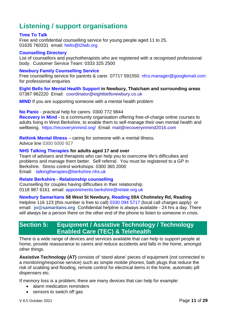# <span id="page-11-0"></span>**Listening / support organisations**

#### **[Time To Talk](http://t2twb.org/)**

Free and confidential counselling service for young people aged 11 to 25. 01635 760331 email: [hello@t2twb.org](mailto:hello@t2twb.org)

#### **[Counselling Directory](https://www.counselling-directory.org.uk/)**

List of counsellors and psychotherapists who are registered with a recognised professional body. Customer Service Team: 0333 325 2500

#### **[Newbury Family Counselling Service](http://www.newburycounselling.org/)**

Free counselling service for parents & carer. 07717 591550. [nfcs.manager@googlemail.com](mailto:nfcs.manager@googlemail.com) for professional enquiries

**[Eight Bells for Mental Health Support](http://eightbellsnewbury.co.uk/) in Newbury, Thatcham and surrounding areas**  07387 962220 Email: [coordinator@eightbellsnewbury.co.uk](mailto:coordinator@eightbellsnewbury.co.uk)

**[MIND](https://www.mind.org.uk/information-support/helping-someone-else/)** If you are supporting someone with a mental health problem

#### **[No Panic](https://nopanic.org.uk/help-for-carers/)** - practical help for carers 0300 772 9844

**[Recovery in Mind](https://recoveryinmind.org/) -** Is a community organisation offering free-of-charge online courses to adults living in West Berkshire, to enable them to self-manage their own mental health and wellbeing. <https://recoveryinmind.org/>Email: [mail@recoveryinmind2016.com](mailto:mail@recoveryinmind2016.com)

**[Rethink Mental Illness](https://www.rethink.org/advice-and-information/carers-hub/)** – caring for someone with a mental illness.

Advice line 0300 5000 927

#### **[NHS Talking Therapies](https://talkingtherapies.berkshirehealthcare.nhs.uk/) for adults aged 17 and over**

Team of advisers and therapists who can help you to overcome life's difficulties and problems and manage them better. Self referral. You must be registered to a GP in Berkshire. Stress control workshops. 0300 365 2000 Email: [talkingtherapies@berkshire.nhs.uk](mailto:talkingtherapies@berkshire.nhs.uk)

#### **Relate Berkshire - [Relationship counselling](https://www.relate.org.uk/find-my-nearest-relate/outpost/newbury-berkshire-relate)**

Counselling for couples having difficulties in their relationship. 0118 987 6161 email: [appointments.berkshire@relate.org.uk](mailto:appointments.berkshire@relate.org.uk)

#### **[Newbury Samaritans](http://www.samaritans.org/branches/samaritans-newbury) 58 West St Newbury, [Reading](https://www.samaritans.org/branches/reading/) 59A Cholmeley Rd, Reading**

Helpline 116 123 (this number is free to call) [0330 094 5717](tel:+443300945717) (local call charges apply) or email: **[jo@samaritans.org](mailto:jo@samaritans.org)** Confidential helpline is always available - 24 hrs a day. There will always be a person there on the other end of the phone to listen to someone in crisis.

### <span id="page-11-1"></span>**Section 5: Equipment / Assistive Technology / Technology Enabled Care (TEC) & Telehealth**

There is a wide range of devices and services available that can help to support people at home, provide reassurance to carers and reduce accidents and falls in the home, amongst other things.

**Assistive Technology (AT)** consists of 'stand alone' pieces of equipment (not connected to a monitoring/response service) such as simple mobile phones, bath plugs that reduce the risk of scalding and flooding, remote control for electrical items in the home, automatic pill dispensers etc.

If memory loss is a problem, there are many devices that can help for example:

- alarm medication reminders
- sensors to switch off gas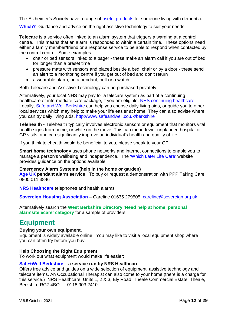The Alzheimer's Society have a range of [useful products](https://www.alzheimers.org.uk/get-support/staying-independent/equipment-adaptations-improvements-home) for someone living with dementia.

**[Which?](https://www.which.co.uk/reviews/assistive-technology/article/guides)** Guidance and advice on the right assistive technology to suit your needs.

**Telecare** is a service often linked to an alarm system that triggers a warning at a control centre. This means that an alarm is responded to within a certain time. These options need either a family member/friend or a response service to be able to respond when contacted by the control centre. Some examples:

- chair or bed sensors linked to a pager these make an alarm call if you are out of bed for longer than a preset time
- pressure mats with sensors and placed beside a bed, chair or by a door these send an alert to a monitoring centre if you get out of bed and don't return
- a wearable alarm, on a pendant, belt or a watch.

Both Telecare and Assistive Technology can be purchased privately.

Alternatively, your local NHS may pay for a telecare system as part of a continuing healthcare or intermediate care package, if you are eligible. NHS continuing healthcare Locally, [Safe and Well Berkshire](http://www.safeandwell.co.uk/berkshire) can help you choose daily living aids, or guide you to other local services which may help to make your life easier at home. They can also advise where you can try daily living aids. <http://www.safeandwell.co.uk/berkshire>

**Telehealth -** Telehealth typically involves electronic sensors or equipment that monitors vital health signs from home, or while on the move. This can mean fewer unplanned hospital or GP visits, and can significantly improve an individual's health and quality of life.

If you think telehealth would be beneficial to you, please speak to your GP.

**Smart home technology** uses phone networks and internet connections to enable you to manage a person's wellbeing and independence. The ['Which Later Life Care'](https://www.which.co.uk/reviews/assistive-technology/article/telecare-information-for-the-elderly-adCkx1V2ifWh) website provides guidance on the options available.

#### **Emergency Alarm Systems (help in the home or garden)**

**[Age UK](https://www.ageuk.org.uk/) pendant alarm service**. To buy or request a demonstration with PPP Taking Care 0800 011 3846

**[NRS Healthcare](https://www.nrshealthcare.co.uk/household-aids/telephones-health-alarms)** telephones and health alarms

**[Sovereign Housing Association](https://www.sovereign.org.uk/careline)** – Careline 01635 279505, [careline@sovereign.org.uk](mailto:careline@sovereign.org.uk)

Alternatively search the **[West Berkshire Directory](https://directory.westberks.gov.uk/kb5/westberkshire/directory/results.page?adultchannel=2-11) 'Need help at home' personal alarms/telecare' category** for a sample of providers.

## <span id="page-12-0"></span>**Equipment**

#### **Buying your own equipment.**

Equipment is widely available online. You may like to visit a local equipment shop where you can often try before you buy.

#### **Help Choosing the Right Equipment**

To work out what equipment would make life easier:

#### **[Safe+Well Berkshire](https://www.safeandwell.co.uk/berkshire) – a service run by NRS Healthcare**

Offers free advice and guides on a wide selection of equipment, assistive technology and telecare items. An Occupational Therapist can also come to your home (there is a charge for this service.) NRS Healthcare, Units 1, 2 & 3, Ely Road, Theale Commercial Estate, Theale, Berkshire RG7 4BQ 0118 903 2410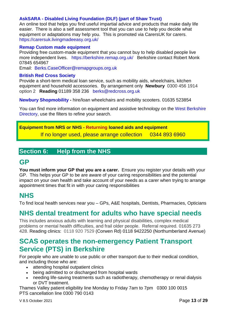#### **AskSARA - [Disabled Living Foundation \(DLF\) \(part of Shaw Trust\)](https://carersuk.livingmadeeasy.org.uk/)**

An online tool that helps you find useful impartial advice and products that make daily life easier. There is also a self assessment tool that you can use to help you decide what equipment or adaptations may help you. This is promoted via CarersUK for carers. <https://carersuk.livingmadeeasy.org.uk/>

#### **[Remap Custom made equipment](https://berkshire.remap.org.uk/)**

Providing free custom-made equipment that you cannot buy to help disabled people live more independent lives. <https://berkshire.remap.org.uk/>Berkshire contact Robert Monk 07845 654967

Email: [Berks.CaseOfficer@remapgroups.org.uk](mailto:Berks.CaseOfficer@remapgroups.org.uk)

#### **[British Red Cross Society](https://www.redcross.org.uk/get-help/hire-a-wheelchair)**

Provide a short-term medical loan service, such as mobility aids, wheelchairs, kitchen equipment and household accessories. By arrangement only **Newbury** 0300 456 1914 option 2 **Reading** 01189 358 236 [berks@redcross.org.uk](mailto:berks@redcross.org.uk)

**[Newbury Shopmobility](http://volunteerwestberks.org.uk/our-services/shopmobility/) -** hire/loan wheelchairs and mobility scooters. 01635 523854

You can find more information on equipment and assistive technology on the [West Berkshire](https://directory.westberks.gov.uk/kb5/westberkshire/directory/results.page?adultchannel=2&qt=&term=)  [Directory,](https://directory.westberks.gov.uk/kb5/westberkshire/directory/results.page?adultchannel=2&qt=&term=) use the filters to refine your search.

### **Equipment from NRS or NHS - Returning loaned aids and equipment** If no longer used, please arrange collection 0344 893 6960

### <span id="page-13-0"></span>**Section 6: Help from the NHS**

### **GP**

**You must inform your GP that you are a carer.** Ensure you register your details with your GP. This helps your GP to be are aware of your caring responsibilities and the potential impact on your own health and take account of your needs as a carer when trying to arrange appointment times that fit in with your caring responsibilities

## **[NHS](https://www.nhs.uk/nhs-services/services-near-you/)**

To find local health services near you – GPs, A&E hospitals, Dentists, Pharmacies, Opticians

### **[NHS dental treatment for adults who have special needs](https://www.berkshirehealthcare.nhs.uk/our-services/adult-healthcare/dental-service/)**

This includes anxious adults with learning and physical disabilities, complex medical problems or mental health difficulties, and frail older people. Referral required. 01635 273 428. Reading clinics: 0118 920 7529 (Corwen Rd) 0118 9422250 (Northumberland Avenue)

### <span id="page-13-1"></span>**[SCAS operates the non-emergency Patient Transport](http://www.scas.nhs.uk/our-services/non-emergency-patient-transport-service/)  [Service \(PTS\) in Berkshire](http://www.scas.nhs.uk/our-services/non-emergency-patient-transport-service/)**

For people who are unable to use public or other transport due to their medical condition, and including those who are:

- attending hospital outpatient clinics
- being admitted to or discharged from hospital wards
- needing life-saving treatments such as radiotherapy, chemotherapy or renal dialysis or DVT treatment.

Thames Valley patient eligibility line Monday to Friday 7am to 7pm 0300 100 0015 PTS cancellation line 0300 790 0143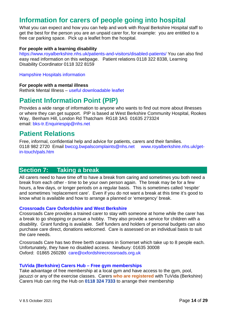# <span id="page-14-0"></span>**[Information for carers of people going into hospital](http://www.royalberkshire.nhs.uk/information-for-carers.htm)**

What you can expect and how you can help and work with Royal Berkshire Hospital staff to get the best for the person you are an unpaid carer for, for example: you are entitled to a free car parking space. Pick up a leaflet from the hospital.

#### **For people with a learning disability**

<https://www.royalberkshire.nhs.uk/patients-and-visitors/disabled-patients/> You can also find easy read information on this webpage. Patient relations 0118 322 8338, Learning Disability Coordinator 0118 322 8159

[Hampshire Hospitals information](https://www.hampshirehospitals.nhs.uk/patients-visitors/health-information-point-hip/information-patients-learning-disabilities)

#### **For people with a mental illness**

Rethink Mental Illness – [useful downloadable leaflet](https://www.rethink.org/advice-and-information/carers-hub/going-into-hospital-for-carers-friends-and-relatives/)

## <span id="page-14-1"></span>**[Patient Information Point \(PIP\)](https://www.berkshirewestccg.nhs.uk/contact-us/patient-information-point-pip/)**

Provides a wide range of information to anyone who wants to find out more about illnesses or where they can get support. PIP is based at West Berkshire Community Hospital, Rookes Way, Benham Hill, London Rd Thatcham RG18 3AS 01635 273324 email: [bks-tr.Enquiriespip@nhs.net](mailto:bks-tr.Enquiriespip@nhs.net)

### <span id="page-14-2"></span>**[Patient Relations](http://www.royalberkshire.nhs.uk/get-in-touch/pals.htm)**

Free, informal, confidential help and advice for patients, carers and their families. 0118 982 2720 Email [bwccg.bwpalscomplaints@nhs.net](mailto:bwccg.bwpalscomplaints@nhs.net) [www.royalberkshire.nhs.uk/get](http://www.royalberkshire.nhs.uk/get-in-touch/pals.htm)[in-touch/pals.htm](http://www.royalberkshire.nhs.uk/get-in-touch/pals.htm)

### <span id="page-14-3"></span>**Section 7: Taking a break**

All carers need to have time off to have a break from caring and sometimes you both need a break from each other - time to be your own person again. The break may be for a few hours, a few days, or longer periods on a regular basis. This is sometimes called 'respite' and sometimes 'replacement care'. Even if you do not want a break at this time it's good to know what is available and how to arrange a planned or 'emergency' break.

#### **[Crossroads Care Oxfordshire and West Berkshire](http://www.oxfordshirecrossroads.org.uk/)**

Crossroads Care provides a trained carer to stay with someone at home while the carer has a break to go shopping or pursue a hobby. They also provide a service for children with a disability. Grant funding is available. Self funders and holders of personal budgets can also purchase care direct, donations welcomed. Care is assessed on an individual basis to suit the care needs.

Crossroads Care has two three berth caravans in Somerset which take up to 8 people each. Unfortunately, they have no disabled access. Newbury: 01635 30008 Oxford: 01865 260280 [care@oxfordshirecrossroads.org.uk](mailto:info@newburycrossroads.org.uk)

#### **TuVida (Berkshire) Carers Hub – [Free gym memberships](https://www.tuvida.org/berkshire)**

Take advantage of free membership at a local gym and have access to the gym, pool, jacuzzi or any of the exercise classes. Carers **who are registered** with TuVida (Berkshire) Carers Hub can ring the Hub on **0118 324 7333** to arrange their membership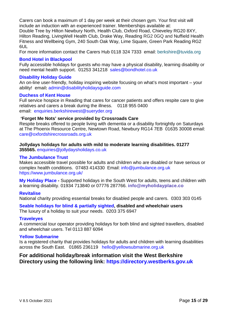Carers can book a maximum of 1 day per week at their chosen gym. Your first visit will include an induction with an experienced trainer. Memberships available at:

Double Tree by Hilton Newbury North, Health Club, Oxford Road, Chieveley RG20 8XY, Hilton Reading, LivingWell Health Club, Drake Way, Reading RG2 0GQ and Nuffield Health Fitness and Wellbeing Gym, 240 South Oak Way, Lime Square, Green Park Reading RG2 6UL

For more information contact the Carers Hub 0118 324 7333 email: [berkshire@tuvida.org](mailto:berkshire@tuvida.org)

#### **[Bond Hotel in Blackpool](https://bondhotel.co.uk/)**

Fully accessible holidays for guests who may have a physical disability, learning disability or need mental health support. 01253 341218 [sales@bondhotel.co.uk](mailto:sales@bondhotel.co.uk)

#### **[Disability Holiday Guide](http://www.disabilityholidaysguide.com/)**

An on-line user-friendly, holiday inspiring website focusing on what's most important – your ability! email**:** [admin@disabilityholidaysguide.com](mailto:admin@disabilityholidaysguide.com)

#### **[Duchess of Kent House](http://www.sueryder.org/how-we-help/Hospices/Duchess-of-Kent-Hospice)**

Full service hospice in Reading that cares for cancer patients and offers respite care to give relatives and carers a break during the illness. 0118 955 0400 email: [enquiries.berkshirewest@sueryder.org](mailto:enquiries.berkshirewest@sueryder.org)

#### **'Forget Me Nots' service provided by Crossroads Care**

Respite breaks offered to people living with dementia or a disability fortnightly on Saturdays at The Phoenix Resource Centre, Newtown Road, Newbury RG14 7EB 01635 30008 email: [care@oxfordshirecrossroads.org.uk](mailto:info@newburycrossroads.org.uk)

### **[Jollydays](http://www.jollydaysholidays.co.uk/supported-holidays.htm) holidays for adults with mild to moderate learning disabilities. 01277**

**355565.** [enquiries@jollydaysholidays.co.uk](mailto:enquiries@jollydaysholidays.co.uk)

#### **[The Jumbulance Trust](https://www.jumbulance.org.uk/)**

Makes accessible travel possible for adults and children who are disabled or have serious or complex health conditions. 07483 414330 Email: [info@jumbulance.org.uk](mailto:info@jumbulance.org.uk)  <https://www.jumbulance.org.uk/>

**[My Holiday Place](https://www.myholidayplace.co/) -** Supported holidays in the South West for adults, teens and children with a learning disability. 01934 713840 or 07776 287766. **info@myholidayplace.co**

#### **[Revitalise](https://revitalise.org.uk/respite-holidays/)**

National charity providing essential breaks for disabled people and carers. 0303 303 0145

# **[Seable holidays for blind & partially sighted,](https://seable.co.uk/) disabled and wheelchair users**

The luxury of a holiday to suit your needs. 0203 375 6947

#### **[Traveleyes](http://traveleyes-international.com/holiday/)**

A commercial tour operator providing holidays for both blind and sighted travellers, disabled and wheelchair users. Tel 0113 887 6094

#### **[Yellow Submarine](https://www.yellowsubmarine.org.uk/)**

Is a registered charity that provides holidays for adults and children with learning disabilities across the South East. 01865 236119 [hello@yellowsubmarine.org.uk](mailto:hello@yellowsubmarine.org.uk)

### **For additional holiday/break information visit the West Berkshire Directory using the following link: [https://directory.westberks.gov.uk](https://directory.westberks.gov.uk/kb5/westberkshire/directory/results.action?adultchannel=6-4)**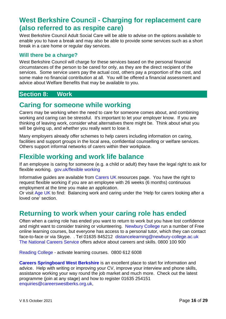# <span id="page-16-0"></span>**West Berkshire Council - [Charging for replacement care](http://info.westberks.gov.uk/index.aspx?articleid=28732) (also referred to as respite care)**

West Berkshire Council Adult Social Care will be able to advise on the options available to enable you to have a break and may also be able to provide some services such as a short break in a care home or regular day services.

### <span id="page-16-1"></span>**Will there be a charge?**

West Berkshire Council will charge for these services based on the personal financial circumstances of the person to be cared for only, as they are the direct recipient of the services. Some service users pay the actual cost, others pay a proportion of the cost, and some make no financial contribution at all. You will be offered a financial assessment and advice about Welfare Benefits that may be available to you.

### <span id="page-16-2"></span>**Section 8: Work**

# <span id="page-16-3"></span>**Caring for someone while working**

Carers may be working when the need to care for someone comes about, and combining working and caring can be stressful. It's important to let your employer know. If you are thinking of leaving work, consider what alternatives there might be. Think about what you will be giving up, and whether you really want to lose it.

Many employers already offer schemes to help carers including information on caring, facilities and support groups in the local area, confidential counselling or welfare services. Others support informal networks of carers within their workplace.

# <span id="page-16-4"></span>**Flexible working and work life balance**

If an employee is caring for someone (e.g. a child or adult) they have the legal right to ask for flexible working. [gov.uk/flexible working](https://www.gov.uk/flexible-working)

Informative guides are available from [Carers UK](https://www.carersuk.org/help-and-advice/work-and-career/other-rights-at-work/your-right-to-flexible-working?gclid=EAIaIQobChMI6Zfwm9nF1wIVRLgbCh0cYgTOEAAYAyAAEgJmC_D_BwE) resources page. You have the right to request flexible working if you are an employee with 26 weeks (6 months) continuous employment at the time you make an application.

Or visit [Age UK](https://www.ageuk.org.uk/information-advice/care/helping-a-loved-one/im-juggling-work-and-caring/) to find: Balancing work and caring under the 'Help for carers looking after a loved one' section.

## <span id="page-16-5"></span>**Returning to work when your caring role has ended**

Often when a caring role has ended you want to return to work but you have lost confidence and might want to consider training or volunteering. [Newbury College](https://newbury-college.ac.uk/adult-learners/digital-and-distance-learning) run a number of Free online learning courses, but everyone has access to a personal tutor, which they can contact face-to-face or via Skype. . Tel 01635 845212 [distancelearning@newbury-college.ac.uk](mailto:distancelearning@newbury-college.ac.uk) [The National Careers Service](https://nationalcareers.service.gov.uk/contact-us) offers advice about careers and skills. 0800 100 900

[Reading College](https://reading.activatelearning.ac.uk/college-life/supporting-you/careers-support/) - activate learning courses. 0800 612 6008

**[Careers Springboard West Berkshire](https://www.careerswestberks.org.uk/info/contacts.htm)** is an excellent place to start for information and advice. Help with writing or improving your CV, improve your interview and phone skills, assistance working your way round the job market and much more. Check out the latest programme (join at any stage) and how to register 01635 254151 [enquiries@careerswestberks.org.uk,](mailto:enquiries@careerswestberks.org.uk?subject=Careers%20Springboard%20Membership%20Enquiry)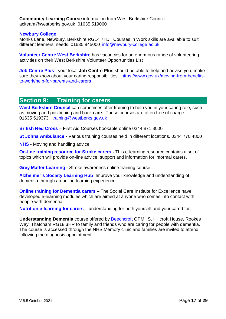**[Community](https://info.westberks.gov.uk/communitycourses) Learning Course** information from West Berkshire Council [aclteam@westberks.gov.uk](mailto:aclteam@westberks.gov.uk) 01635 519060

#### **[Newbury College](http://www.newbury-college.ac.uk/)**

Monks Lane, Newbury, Berkshire RG14 7TD. Courses in Work skills are available to suit different learners' needs. 01635 845000 [info@newbury-college.ac.uk](mailto:info@newbury-college.ac.uk)

**[Volunteer Centre West Berkshire](https://www.volunteerwestberks.org.uk/volunteering/)** has vacancies for an enormous range of volunteering activities on their West Berkshire Volunteer [Opportunities](https://www.volunteerwestberks.org.uk/wp-content/uploads/2021/11/biglist60.pdf) List

**[Job Centre Plus](https://www.gov.uk/moving-from-benefits-to-work/help-for-parents-and-carers)** - your local **Job Centre Plus** should be able to help and advise you, make sure they know about your caring responsibilities. [https://www.gov.uk/moving-from-benefits](https://www.gov.uk/moving-from-benefits-to-work/help-for-parents-and-carers)[to-work/help-for-parents-and-carers](https://www.gov.uk/moving-from-benefits-to-work/help-for-parents-and-carers)

### <span id="page-17-0"></span>**Section 9: Training for carers**

[West Berkshire Council](https://info.westberks.gov.uk/training) can sometimes offer training to help you in your caring role, such as moving and positioning and back care. These courses are often free of charge. 01635 519373 [training@westberks.gov.uk](mailto:training@westberks.gov.uk)

**[British Red Cross](https://www.redcross.org.uk/first-aid/book-a-first-aid-course)** – First Aid Courses bookable online 0344 871 8000

**[St Johns Ambulance](https://www.sja.org.uk/get-advice/) -** Various training courses held in different locations. 0344 770 4800

**[NHS](https://www.nhs.uk/conditions/social-care-and-support-guide/practical-tips-if-you-care-for-someone/how-to-move-lift-and-handle-someone-else/)** - Moving and handling advice.

**[On-line training resource for Stroke carers](http://www.stroke4carers.org/) -** This e-learning resource contains a set of topics which will provide on-line advice, support and information for informal carers.

**[Grey Matter Learning](https://greymatterlearning.co.uk/social-care-courses/stroke-awareness/)** - [Stroke awareness online training course](https://www.alzheimers.org.uk/dementia-professionals/external-training/alzheimers-society-learning-hub)

**[Alzheimer's Society Learning Hub](https://www.alzheimers.org.uk/dementia-professionals/external-training/alzheimers-society-learning-hub)** Improve your knowledge and understanding of dementia through an online learning experience.

**[Online training for Dementia carers](https://www.scie.org.uk/e-learning/dementia)** – The Social Care Institute for Excellence have developed e-learning modules which are aimed at anyone who comes into contact with people with dementia.

**[Nutrition e-learning for carers](https://www.carersuk.org/help-and-advice/technology-and-equipment/e-learning-nutrition-carers)** – understanding for both yourself and your cared for.

**Understanding Dementia** course offered by [Beechcroft](https://www.berkshirehealthcare.nhs.uk/our-sites/west-berkshire/beechcroft/) OPMHS, Hillcroft House, Rookes Way, Thatcham RG18 3HR to family and friends who are caring for people with dementia. The course is accessed through the NHS Memory clinic and families are invited to attend following the diagnosis appointment.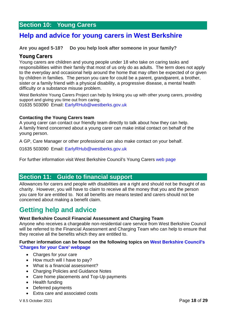# <span id="page-18-0"></span>**Section 10: Young Carers**

## <span id="page-18-1"></span>**[Help and advice for young carers in West Berkshire](https://info.westberks.gov.uk/youngcarers)**

#### **Are you aged 5-18? Do you help look after someone in your family?**

#### **Young Carers**

Young carers are children and young people under 18 who take on caring tasks and responsibilities within their family that most of us only do as adults. The term does not apply to the everyday and occasional help around the home that may often be expected of or given by children in families. The person you care for could be a parent, grandparent, a brother, sister or a family friend with a physical disability, a progressive disease, a mental health difficulty or a substance misuse problem.

West Berkshire Young Carers Project can help by linking you up with other young carers, providing support and giving you time out from caring.

01635 503090 Email: [EarlyRHub@westberks.gov.uk](mailto:EarlyRHub@westberks.gov.uk)

#### **Contacting the Young Carers team**

A young carer can contact our friendly team directly to talk about how they can help. A family friend concerned about a young carer can make initial contact on behalf of the young person.

A GP, Care Manager or other professional can also make contact on your behalf.

01635 503090 Email: [EarlyRHub@westberks.gov.uk](mailto:EarlyRHub@westberks.gov.uk)

For further information visit West Berkshire Council's Young Carers [web page](https://info.westberks.gov.uk/youngcarers)

### <span id="page-18-2"></span>**Section 11: Guide to financial support**

Allowances for carers and people with disabilities are a right and should not be thought of as charity. However, you will have to claim to receive all the money that you and the person you care for are entitled to. Not all benefits are means tested and carers should not be concerned about making a benefit claim.

## <span id="page-18-3"></span>**Getting help and advice**

#### **West Berkshire Council Financial Assessment and Charging Team**

Anyone who receives a chargeable non-residential care service from West Berkshire Council will be referred to the Financial Assessment and Charging Team who can help to ensure that they receive all the benefits which they are entitled to.

#### **Further information can be found on the following topics on [West Berkshire Council's](https://info.westberks.gov.uk/chargesforyourcare)  ['Charges for your Care' webpage](https://info.westberks.gov.uk/chargesforyourcare)**

- Charges for your care
- How much will I have to pay?
- What is a financial assessment?
- Charging Policies and Guidance Notes
- Care home placements and Top-Up payments
- Health funding
- Deferred payments
- Extra care and associated costs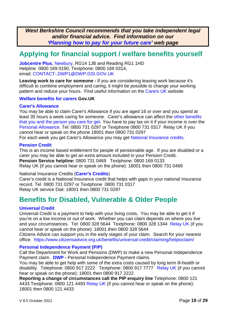*West Berkshire Council recommends that you take independent legal and/or financial advice. Find information on our ['Planning how to pay for your future care'](https://info.westberks.gov.uk/careplanningadvice) web page*

# <span id="page-19-0"></span>**Applying for financial support / welfare benefits yourself**

**[Jobcentre Plus](https://www.gov.uk/contact-jobcentre-plus)**, [Newbury,](https://www.jobcentrenearme.com/item/newbury-jobcentre-plus/) RG14 1JB and Reading RG1 1HD Helpline 0800 169 0190, Textphone: 0800 169 0314, email: [CONTACT-.DWP1@DWP.GSI.GOV.UK](mailto:CONTACT-.DWP1@DWP.GSI.GOV.UK)

**Leaving work to care for someone** - If you are considering leaving work because it's difficult to combine employment and caring, it might be possible to change your working pattern and reduce your hours. Find useful information on the [Carers UK](http://www.carersuk.org/help-and-advice/work-and-career/thinking-of-leaving-work) website

#### **[Welfare benefits for carers](https://www.gov.uk/carers-allowance) Gov.UK**

#### **[Carer's Allowance](https://www.gov.uk/carers-allowance)**

You may be able to claim Carer's Allowance if you are aged 16 or over and you spend at least 35 hours a week caring for someone. Carer's allowance can affect the [other benefits](https://www.gov.uk/carers-allowance/effect-on-other-benefits)  [that you and the person you care for get.](https://www.gov.uk/carers-allowance/effect-on-other-benefits) You have to pay tax on it if your income is over the [Personal Allowance.](https://www.gov.uk/income-tax-rates) Tel: 0800 731 0297 or Textphone 0800 731 0317 Relay UK if you cannot hear or speak on the phone 18001 then 0800 731 0297

For each week you get Carer's Allowance you may get [National Insurance credits.](https://www.gov.uk/national-insurance-credits)

#### **[Pension Credit](https://www.gov.uk/pension-credit)**

This is an income based entitlement for people of pensionable age. If you are disabled or a carer you may be able to get an extra amount included in your Pension Credit. **Pension Service helpline:** 0800 731 0469 Textphone: 0800 169 0133 Relay UK (if you cannot hear or speak on the phone): 18001 then 0800 731 0469

National Insurance Credits (**[Carer's Credits](https://www.gov.uk/carers-credit)**)

Carer's credit is a National Insurance credit that helps with gaps in your national Insurance record. Tel 0800 731 0297 or Textphone 0800 731 0317 Relay UK service Dial: 18001 then 0800 731 0297

## <span id="page-19-1"></span>**Benefits for Disabled, Vulnerable & Older People**

#### **[Universal Credit](https://www.gov.uk/universal-credit)**

Universal Credit is a payment to help with your living costs**.** You may be able to get it if you're on a low income or out of work. Whether you can claim depends on where you live and your circumstances. Tel: 0800 328 5644 Textphone: 0800 328 1344 [Relay UK](https://www.relayuk.bt.com/) (if you cannot hear or speak on the phone): 18001 then 0800 328 5644

Citizens Advice can support you in the early stages of your claim. Search for your nearest office. <https://www.citizensadvice.org.uk/benefits/universal-credit/claiming/helptoclaim/>

#### **[Personal Independence Payment \(PIP\)](https://www.gov.uk/pip/how-to-claim)**

Call the Department for Work and Pensions (DWP) to make a new Personal Independence Payment claim. **[DWP](https://www.gov.uk/pip/overview) -** Personal Independence Payment claims

You may be able to get help with some of the extra costs caused by long term ill-health or disability. Telephone: 0800 917 2222 Textphone: 0800 917 7777 [Relay UK](https://www.relayuk.bt.com/) (if you cannot hear or speak on the phone): 18001 then 0800 917 2222

**Reporting a change of circumstances call the PIP enquiry line** Telephone: 0800 121 4433 Textphone: 0800 121 4493 [Relay UK](https://www.relayuk.bt.com/) (if you cannot hear or speak on the phone): 18001 then 0800 121 4433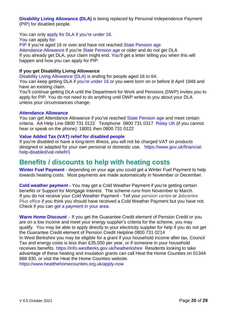**[Disability Living Allowance \(DLA\)](https://www.gov.uk/dla-disability-living-allowance-benefit)** is being replaced by Personal Independence Payment (PIP) for disabled people.

You can only [apply for DLA if you're under 16.](https://www.gov.uk/disability-living-allowance-children) You can apply for: [PIP](https://www.gov.uk/pip) if you're aged 16 or over and have not reached [State Pension age](https://www.gov.uk/state-pension-age) [Attendance Allowance](https://www.gov.uk/attendance-allowance) if you're [State Pension age](https://www.gov.uk/state-pension-age) or older and do not get DLA If you already get DLA, your claim might end. You'll get a letter telling you when this will happen and how you can apply for PIP.

#### **If you get Disability Living Allowance**

[Disability Living Allowance \(DLA\)](https://www.gov.uk/dla-disability-living-allowance-benefit) is ending for people aged 16 to 64.

You can keep getting DLA if [you're under 16](https://www.gov.uk/disability-living-allowance-children) or you were born on or before 8 April 1948 and have an existing claim.

You'll continue getting DLA until the Department for Work and Pensions (DWP) invites you to apply for PIP. You do not need to do anything until DWP writes to you about your DLA unless your circumstances change.

#### **[Attendance Allowance](https://www.gov.uk/attendance-allowance)**

You can get Attendance Allowance if you've reached [State Pension age](https://www.gov.uk/state-pension-age) and meet certain criteria. AA Help Line 0800 731 0122 Textphone 0800 731 0317 [Relay UK](https://www.relayuk.bt.com/) (if you cannot hear or speak on the phone): 18001 then 0800 731 0122

#### **[Value Added Tax \(VAT\) relief for disabled people](https://www.gov.uk/financial-help-disabled/vat-relief#1)**

If you're disabled or have a long-term illness, you will not be charged VAT on products designed or adapted for your own personal or domestic use. [https://www.gov.uk/financial](https://www.gov.uk/financial-help-disabled/vat-relief#1)[help-disabled/vat-relief#1](https://www.gov.uk/financial-help-disabled/vat-relief#1)

## <span id="page-20-0"></span>**Benefits / discounts to help with heating costs**

**[Winter Fuel Payment](https://www.gov.uk/winter-fuel-payment)** - depending on your age you could get a Winter Fuel Payment to help towards heating costs. Most payments are made automatically in November or December.

**[Cold weather payment](https://www.gov.uk/cold-weather-payment) -** You may get a Cold Weather Payment if you're getting certain benefits or Support for Mortgage Interest. The scheme runs from November to March. If you do not receive your Cold Weather Payment - Tell your [pension](https://www.gov.uk/find-pension-centre) centre or [Jobcentre](https://www.gov.uk/contact-jobcentre-plus) Plus [office](https://www.gov.uk/contact-jobcentre-plus) if you think you should have received a Cold Weather Payment but you have not. Check if you can [get a payment in your area.](https://coldweatherpayments.dwp.gov.uk/)

**[Warm Home Discount](https://www.gov.uk/the-warm-home-discount-scheme/low-income)** – If you get the Guarantee Credit element of Pension Credit or you are on a low income and meet your energy supplier's criteria for the scheme, you may qualify. You may be able to apply directly to your electricity supplier for help if you do not get the Guarantee Credit element of Pension Credit Helpline 0800 731 0214 In West Berkshire you may be eligible for a grant if your household income after tax, Council Tax and energy costs is less than £35,000 per year, or if someone in your household receives benefits.<https://info.westberks.gov.uk/heatberkshire>Residents looking to take advantage of these heating and insulation grants can call Heat the Home Counties on 01344 888 930, or [visit the Heat the Home Counties website.](https://www.heatthehomecounties.org.uk/apply-now) <https://www.heatthehomecounties.org.uk/apply-now>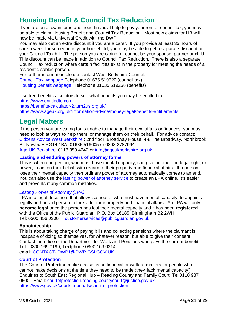# <span id="page-21-0"></span>**Housing Benefit & Council Tax Reduction**

If you are on a low income and need financial help to pay your rent or council tax, you may be able to claim Housing Benefit and Council Tax Reduction. Most new claims for HB will now be made via Universal Credit with the DWP.

You may also get an extra discount if you are a carer. If you provide at least 35 hours of care a week for someone in your household, you may be able to get a separate discount on your Council Tax bill. The person you are caring for cannot be your spouse, partner or child. This discount can be made in addition to Council Tax Reduction. There is also a separate Council Tax reduction where certain facilities exist in the property for meeting the needs of a resident disabled person.

For further information please contact West Berkshire Council:

[Council Tax webpage](https://info.westberks.gov.uk/counciltaxreduction) Telephone 01635 519520 (council tax)

[Housing Benefit webpage](https://info.westberks.gov.uk/article/30085/About-Housing-Benefit) Telephone 01635 519258 (benefits)

Use free benefit calculators to see what benefits you may be entitled to:

[https://www.entitledto.co.uk](https://www.entitledto.co.uk/)

<https://benefits-calculator-2.turn2us.org.uk/>

<https://www.ageuk.org.uk/information-advice/money-legal/benefits-entitlements>

# <span id="page-21-1"></span>**Legal Matters**

If the person you are caring for is unable to manage their own affairs or finances, you may need to look at ways to help them, or manage them on their behalf. For advice contact: [Citizens Advice West Berkshire](http://citizensadvicewestberkshire.org.uk/) : 2nd floor, Broadway House, 4-8 The Broadway, Northbrook St, Newbury RG14 1BA: 01635 516605 or 0808 2787994

[Age UK Berkshire:](http://www.ageuk.org.uk/berkshire/) 0118 959 4242 or [info@ageukberkshire.org.uk](mailto:info@ageukberkshire.org.uk)

#### **[Lasting and enduring powers of attorney forms](https://www.gov.uk/government/collections/lasting-power-of-attorney-forms)**

This is when one person, who must have mental capacity, can give another the legal right, or power, to act on their behalf with regard to their property and financial affairs. If a person loses their mental capacity then ordinary power of attorney automatically comes to an end. You can also use the [lasting power of attorney service](https://www.lastingpowerofattorney.service.gov.uk/home) to create an LPA online. It's easier and prevents many common mistakes.

#### *[Lasting Power of Attorney \(LPA\)](https://www.gov.uk/government/collections/lasting-power-of-attorney-forms)*

LPA is a legal document that allows someone, who must have mental capacity, to appoint a legally authorised person to look after their property and financial affairs. An LPA will only **become legal** once the person has lost their mental capacity and it has been **registered** with the Office of the Public Guardian, P.O. Box 16185, Birmingham B2 2WH Tel: 0300 456 0300[customerservices@publicguardian.gov.uk](mailto:customerservices@publicguardian.gov.uk)

#### **Appointeeship**

This is about taking charge of paying bills and collecting pensions where the claimant is incapable of doing so themselves, for whatever reason, but able to give their consent. Contact the office of the Department for Work and Pensions who pays the current benefit. Tel: 0800 169 0190, Textphone 0800 169 0314. email: [CONTACT-.DWP1@DWP.GSI.GOV.UK](mailto:CONTACT-.DWP1@DWP.GSI.GOV.UK) 

#### **[Court of Protection](https://www.gov.uk/courts-tribunals/court-of-protection)**

The Court of Protection make decisions on financial or welfare matters for people who cannot make decisions at the time they need to be made (they 'lack mental capacity'). Enquiries to South East Regional Hub – Reading County and Family Court, Tel 0118 987 0500 Email: [courtofprotection.reading.countycourt@justice.gov.uk](mailto:courtofprotection.reading.countycourt@justice.gov.uk) <https://www.gov.uk/courts-tribunals/court-of-protection>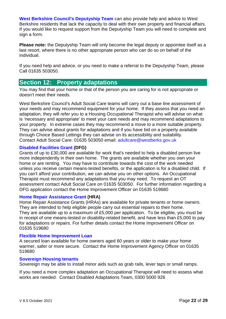**[West Berkshire Council's Deputyship Team](https://info.westberks.gov.uk/ascmanagingfinances)** can also provide help and advice to West Berkshire residents that lack the capacity to deal with their own property and financial affairs. If you would like to request support from the Deputyship Team you will need to complete and sign a form.

**Please note:** the Deputyship Team will only become the legal deputy or appointee itself as a last resort, where there is no other appropriate person who can do so on behalf of the individual.

If you need help and advice, or you need to make a referral to the Deputyship Team, please Call 01635 503050.

### <span id="page-22-0"></span>**Section 12: Property adaptations**

You may find that your home or that of the person you are caring for is not appropriate or doesn't meet their needs.

West Berkshire Council's Adult Social Care teams will carry out a base line assessment of your needs and may recommend equipment for your home. If they assess that you need an adaptation, they will refer you to a Housing Occupational Therapist who will advise on what is 'necessary and appropriate' to meet your care needs and may recommend adaptations to your property. In extreme cases they may recommend a move to a more suitable property. They can advise about grants for adaptations and if you have bid on a property available through Choice Based Lettings they can advise on its accessibility and suitability. Contact Adult Social Care: 01635 503050 email: [adultcare@westberks.gov.uk](mailto:adultcare@westberks.gov.uk)

#### **Disabled [Facilities Grant](https://info.westberks.gov.uk/Disabled-Facilities-Grants) (DFG)**

Grants of up to £30,000 are available for work that's needed to help a disabled person live more independently in their own home. The grants are available whether you own your home or are renting. You may have to contribute towards the cost of the work needed unless you receive certain means-tested benefits, or the application is for a disabled child. If you can't afford your contribution, we can advise you on other options. An Occupational Therapist must recommend any adaptations that you may need. To request an OT assessment contact Adult Social Care on 01635 503050. For further information regarding a DFG application contact the Home Improvement Officer on 01635 519680

#### **[Home Repair Assistance Grant](https://info.westberks.gov.uk/article/27590/Home-Repair-Assistance-Grants) (HRA)**

Home Repair Assistance Grants (HRAs) are available for private tenants or home owners. They are intended to help eligible people carry out essential repairs to their home. They are available up to a maximum of £5,000 per application. To be eligible, you must be in receipt of one means-tested or disability-related benefit, and have less than £5,000 to pay for adaptations or repairs. For further details contact the Home Improvement Officer on 01635 519680

#### **[Flexible Home Improvement Loan](https://info.westberks.gov.uk/article/27588/Flexible-Home-Improvement-Loans)**

A secured loan available for home owners aged 60 years or older to make your home warmer, safer or more secure. Contact the Home Improvement Agency Officer on 01635 519680

#### **[Sovereign Housing tenants](https://my.sovereign.org.uk/articles/general-needs/help-and-advice/aids-and-adaptations)**

Sovereign may be able to install minor aids such as grab rails, lever taps or small ramps.

If you need a more complex adaptation an Occupational Therapist will need to assess what works are needed. Contact Disabled Adaptations Team, 0300 5000 926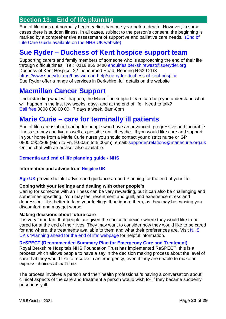### <span id="page-23-0"></span>**Section 13: End of life planning**

End of life does not normally begin earlier than one year before death. However, in some cases there is sudden illness. In all cases, subject to the person's consent, the beginning is marked by a comprehensive assessment of supportive and palliative care needs. (End of Life Care Guide [available on the NHS](https://www.nhs.uk/conditions/end-of-life-care/) UK website)

### <span id="page-23-1"></span>**Sue Ryder – [Duchess of Kent hospice support team](https://www.sueryder.org/how-we-can-help/sue-ryder-duchess-of-kent-hospice)**

Supporting carers and family members of someone who is approaching the end of their life through difficult times. Tel: **0118 955 0400** [enquiries.berkshirewest@sueryder.org](mailto:enquiries.berkshirewest@sueryder.org) Duchess of Kent Hospice, 22 Liebenrood Road, Reading RG30 2DX <https://www.sueryder.org/how-we-can-help/sue-ryder-duchess-of-kent-hospice> Sue Ryder offer a range of services in Berkshire, full details on the website

# <span id="page-23-2"></span>**[Macmillan Cancer Support](https://www.macmillan.org.uk/coronavirus/end-of-life-care-and-coronavirus)**

Understanding what will happen, the Macmillan support team can help you understand what will happen in the last few weeks, days, and at the end of life. Need to talk? [Call free](http://www.macmillan.org.uk/information-and-support/coping/getting-support/talking-to-us/macmillan-support-line-mobile.html#203612) 0808 808 00 00. 7 days a week, 8am-8pm

## <span id="page-23-3"></span>**Marie Curie – [care for terminally ill patients](https://www.mariecurie.org.uk/help/nursing-services/get-marie-curie-nurse)**

End of life care is about caring for people who have an advanced, progressive and incurable illness so they can live as well as possible until they die. If you would like care and support in your home from a Marie Curie nurse you should contact your district nurse or GP 0800 0902309 (Mon to Fri, 9.00am to 5.00pm). email: [supporter.relations@mariecurie.org.uk](mailto:supporter.relations@mariecurie.org.uk) Online chat with an adviser also available.

#### **[Dementia and end of life planning guide -](https://www.nhs.uk/conditions/dementia/palliative-care/) NHS**

#### **Information and advice from [Hospice UK](https://www.hospiceuk.org/information-and-support/your-guide-hospice-and-end-life-care/im-looking-hospice-care)**

**[Age UK](https://www.ageuk.org.uk/information-advice/health-wellbeing/relationships-family/end-of-life-issues/)** provide helpful advice and guidance around Planning for the end of your life.

#### **Coping with your feelings and dealing with other people's**

Caring for someone with an illness can be very rewarding, but it can also be challenging and sometimes upsetting. You may feel resentment and guilt, and experience stress and depression. It is better to face your feelings than ignore them, as they may be causing you discomfort, and may get worse.

#### **Making decisions about future care**

It is very important that people are given the choice to decide where they would like to be cared for at the end of their lives. They may want to consider how they would like to be cared for and where, the treatments available to them and what their preferences are. Visit [NHS](https://www.nhs.uk/conditions/end-of-life-care/#planning-ahead-for-the-end-of-life)  [UK's 'Planning ahead for the end of life' webpage](https://www.nhs.uk/conditions/end-of-life-care/#planning-ahead-for-the-end-of-life) for helpful information.

#### **[ReSPECT \(Recommended Summary Plan for Emergency Care and Treatment\)](https://www.royalberkshire.nhs.uk/respect-patients-having-their-say.htm)**

Royal Berkshire Hospitals NHS Foundation Trust has implemented ReSPECT, this is a process which allows people to have a say in the decision making process about the level of care that they would like to receive in an emergency, even if they are unable to make or express choices at that time.

The process involves a person and their health professional/s having a conversation about clinical aspects of the care and treatment a person would wish for if they became suddenly or seriously ill.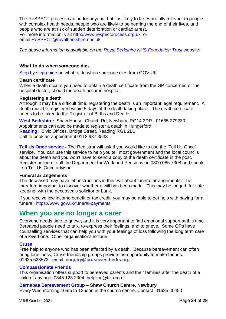The ReSPECT process can be for anyone, but it is likely to be especially relevant to people with complex health needs, people who are likely to be nearing the end of their lives, and people who are at risk of sudden deterioration or cardiac arrest. For more information, visit [http://www.respectprocess.org.uk](http://www.respectprocess.org.uk/) or email [ReSPECT@royalberkshire.nhs.uk](mailto:ReSPECT@royalberkshire.nhs.uk)

*The above information is available on the [Royal Berkshire NHS Foundation Trust](https://www.royalberkshire.nhs.uk/patients-and-visitors/respect/)* website:

#### **What to do when someone dies**

[Step by step guide](https://www.gov.uk/when-someone-dies) on what to do when someone dies from GOV.UK.

#### **Death certificate**

When a death occurs you need to obtain a death certificate from the GP concerned or the hospital doctor, should the death occur in hospital.

#### **Registering a death**

Although it may be a difficult time, registering the death is an important legal requirement. A death must be registered within 5 days of the death taking place. The death certificate needs to be taken to the Registrar of Births and Deaths:

**[West Berkshire:](https://info.westberks.gov.uk/article/30176/Registering-a-Death)** Shaw House, Church Rd, Newbury, RG14 2DR 01635 279230 Appointments can also be made to register a death in Hungerford. **[Reading:](https://www.reading.gov.uk/deaths)** Civic Offices, Bridge Street, Reading RG1 2LU Call to book an appointment 0118 937 3533

**[Tell Us Once service](https://www.gov.uk/register-a-death) -** The Registrar will ask if you would like to use the 'Tell Us Once' service. You can use this service to help you tell most government and the local councils about the death and you won't have to send a copy of the death certificate in the post. Register online or call the Department for Work and Pensions on 0800 085 7308 and speak to a Tell Us Once advisor

#### **Funeral arrangements**

The deceased may have left instructions in their will about funeral arrangements. It is therefore important to discover whether a will has been made. This may be lodged, for safe keeping, with the deceased's solicitor or bank.

If you receive low income benefit or tax credit, you may be able to get help with paying for a funeral.<https://www.gov.uk/funeral-payments>

### <span id="page-24-0"></span>**When you are no longer a carer**

Everyone needs time to grieve, and it is very important to find emotional support at this time. Bereaved people need to talk, to express their feelings, and to grieve. Some GPs have counselling services that can help you with your feelings of loss following the long term care of a loved one. Other organisations include:

#### **[Cruse](https://www.cruse.org.uk/get-support/contact-your-local-branch/)**

Free help to anyone who has been affected by a death. Because bereavement can often bring loneliness, Cruse friendship groups provide the opportunity to make friends. 01635 523573 email: **[enquiry@crusewestberks.org](mailto:enquiry@crusewestberks.org)**

#### **[Compassionate Friends](http://www.tcf.org.uk/)**

This organisation offers support to bereaved parents and their families after the death of a child of any age. 0345 123 2304 [helpline@tcf.org.uk](mailto:helpline@tcf.org.uk)

#### **[Barnabas Bereavement Group](http://www.shawchurch.org.uk/bereavement-group/) – Shaw Church Centre, Newbury**

Every Wed morning 10am to 12noon in the church centre. Contact 01635 40450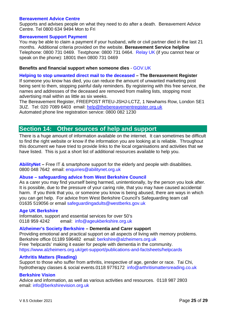#### **[Bereavement Advice Centre](http://www.bereavementadvice.org/)**

Supports and advises people on what they need to do after a death. Bereavement Advice Centre. Tel 0800 634 9494 Mon to Fri

#### **[Bereavement Support Payment](https://www.gov.uk/bereavement-support-payment/how-to-claim)**

You may be able to claim a payment if your husband, wife or civil partner died in the last 21 months. Additional criteria provided on the website. **Bereavement Service helpline**  Telephone: 0800 731 0469. Textphone: 0800 731 0464. [Relay UK](https://www.relayuk.bt.com/) (if you cannot hear or speak on the phone): 18001 then 0800 731 0469

#### **Benefits and financial support when someone dies** - [GOV.UK](https://www.gov.uk/browse/benefits/bereavement)

#### **[Helping to stop unwanted direct mail to the deceased](https://www.thebereavementregister.org.uk/) – The Bereavement Register**

If someone you know has died, you can reduce the amount of unwanted marketing post being sent to them, stopping painful daily reminders. By registering with this free service, the names and addresses of the deceased are removed from mailing lists, stopping most advertising mail within as little as six weeks.

The Bereavement Register, FREEPOST RTEU-JSHJ-LCTZ, 1 Newhams Row, London SE1 3UZ. Tel: 020 7089 6403 email: [help@thebereavementregister.org.uk](mailto:help@thebereavementregister.org.uk) Automated phone line registration service: 0800 082 1230

### <span id="page-25-0"></span>**Section 14: Other sources of help and support**

There is a huge amount of information available on the internet. It can sometimes be difficult to find the right website or know if the information you are looking at is reliable. Throughout this document we have tried to provide links to the local organisations and activities that we have listed. This is just a short list of additional resources available to help you.

**[AbilityNet](https://abilitynet.org.uk/at-home) –** Free IT & smartphone support for the elderly and people with disabilities. 0800 048 7642 email: [enquiries@abilitynet.org.uk](mailto:enquiries@abilitynet.org.uk)

#### **Abuse – [safeguarding advice from West Berkshire Council](https://info.westberks.gov.uk/safeguardingadults)**

As a carer you may find yourself being harmed, unintentionally, by the person you look after. It is possible, due to the pressure of your caring role, that you may have caused accidental harm. If you think that you, or someone you know is being abused, there are ways in which you can get help. For advice from West Berkshire Council's Safeguarding team call 01635 519056 or email safeguardingadults@westberks.gov.uk

#### **[Age UK Berkshire](https://www.ageuk.org.uk/berkshire/)**

Information, support and essential services for over 50's 0118 959 4242 email: [info@ageukberkshire.org.uk](mailto:info@ageukberkshire.org.uk)

#### **[Alzheimer's Society Berkshire](https://www.alzheimers.org.uk/) – Dementia and Carer support**

Providing emotional and practical support on all aspects of living with memory problems. Berkshire office 01189 596482 email: [berkshire@alzheimers.org.uk](mailto:berkshire@alzheimers.org.uk) Free 'helpcards' making it easier for people with dementia in the community. <https://www.alzheimers.org.uk/get-support/publications-and-factsheets/helpcards>

#### **[Arthritis Matters \(Reading\)](http://www.arthritismattersreading.co.uk/)**

Support to those who suffer from arthritis, irrespective of age, gender or race. Tai Chi, hydrotherapy classes & social events.0118 9776172 [info@arthritismattersreading.co.uk](mailto:info@arthritismattersreading.co.uk)

#### **[Berkshire Vision](https://berkshirevision.org.uk/)**

Advice and information, as well as various activities and resources. 0118 987 2803 email: [info@berkshirevision.org.uk](mailto:info@berkshirevision.org.uk)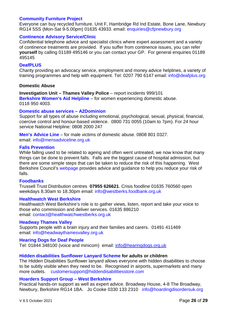#### **[Community Furniture Project](https://www.n-c-r-c.org/community-furniture-project/)**

Everyone can buy recycled furniture. Unit F, Hambridge Rd Ind Estate, Bone Lane, Newbury RG14 5SS (Mon-Sat 9-5.00pm) 01635 43933. email: [enquiries@cfpnewbury.org](mailto:enquiries@cfpnewbury.org)

#### **[Continence Advisory Service/Clinic](https://www.berkshirehealthcare.nhs.uk/our-services/physical-and-community-healthcare/continence-advisory-service/)**

Confidential telephone advice and specialist clinics where expert assessment and a variety of continence treatments are provided. If you suffer from continence issues, you can refer **yourself** by calling 01189 495146 or you can contact your GP. For general enquiries 01189 495145

#### **[DeafPLUS](https://www.deafplus.org/)**

Charity providing an advocacy service, employment and money advice helplines, a variety of training programmes and help with equipment. Tel: 0207 790 6147 email: [info@deafplus.org](mailto:info@deafplus.org)

#### **Domestic Abuse**

**Investigation Unit – Thames Valley Police** – report incidents 999/101 **[Berkshire Women's Aid Helpline](http://www.berkshirewomensaid.org.uk/bwa-provides-help-domestic-abuse/womens-choices-west-berkshire/)** – for women experiencing domestic abuse. 0118 950 4003.

#### **[Domestic abuse services –](https://www.a2dominion.co.uk/Domestic-abuse-services) A2Dominion**

Support for all types of abuse including emotional, psychological, sexual, physical, financial, coercive control and honour-based violence. 0800 731 0055 (10am to 7pm). For 24 hour service National Helpline: 0808 2000 247

**[Men's Advice Line](https://mensadviceline.org.uk/contact-us/)** – for male victims of domestic abuse. 0808 801 0327. email: [info@mensadviceline.org.uk](mailto:info@mensadviceline.org.uk)

#### **[Falls Prevention](https://info.westberks.gov.uk/fallsprevention)**

While falling used to be related to ageing and often went untreated, we now know that many things can be done to prevent falls. Falls are the biggest cause of hospital admission, but there are some simple steps that can be taken to reduce the risk of this happening. West Berkshire Council's [webpage](http://info.westberks.gov.uk/index.aspx?articleid=34239) provides advice and guidance to help you reduce your risk of falls.

#### **[Foodbanks](https://westberks.foodbank.org.uk/)**

Trussell Trust Distribution centres **07955 626621**. Crisis foodline 01635 760560 open weekdays 8.30am to 18.30pm email: [info@westberks.foodbank.org.uk](mailto:info@westberks.foodbank.org.uk) 

#### **Healthwatch [West Berkshire](https://www.healthwatchwestberks.org.uk/)**

Healthwatch West Berkshire's role is to gather views, listen, report and take your voice to those who commission and deliver services. 01635 886210 email: [contact@healthwatchwestberks.org.uk](mailto:contact@healthwatchwestberks.org.uk)

#### **[Headway Thames Valley](https://headwaythamesvalley.org.uk/)**

Supports people with a brain injury and their families and carers. 01491 411469 email: [info@headwaythamesvalley.org.uk](mailto:info@headwaythamesvalley.org.uk)

#### **[Hearing Dogs for Deaf People](https://www.hearingdogs.org.uk/)**

Tel: 01844 348100 (voice and minicom) email: [info@hearingdogs.org.uk](mailto:info@hearingdogs.org.uk)

#### **[Hidden disabilities Sunflower Lanyard Scheme](https://hiddendisabilitiesstore.com/about-hidden-disabilities-sunflower) for adults or children**

The Hidden Disabilities Sunflower lanyard allows everyone with hidden disabilities to choose to be subtly visible when they need to be. Recognised in airports, supermarkets and many more outlets. [customersupport@hiddendisabilitiesstore.com](mailto:customersupport@hiddendisabilitiesstore.com)

#### **[Hoarders Support Group –](https://hoardingdisordersuk.org/) West Berkshire**

Practical hands-on support as well as expert advice. Broadway House, 4-8 The Broadway, Newbury, Berkshire RG14 1BA. Jo Cooke 0330 133 2310 [info@hoardingdisordersuk.org](mailto:info@hoardingdisordersuk.org)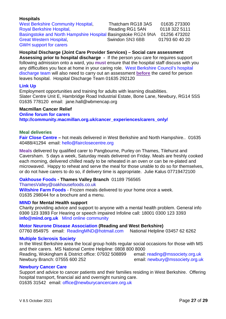#### **Hospitals**

[West Berkshire Community Hospital,](https://www.berkshirehealthcare.nhs.uk/our-sites/west-berkshire/west-berkshire-community-hospital/) Thatcham RG18 3AS 01635 273300 [Royal Berkshire Hospital,](https://www.royalberkshire.nhs.uk/) Reading RG1 5AN 0118 322 5111 [Basingstoke and North Hampshire Hospital](https://www.hampshirehospitals.nhs.uk/patients-visitors/contact-us/basingstoke-and-north-hampshire-hospital-bnhh) Basingstoke RG24 9NA 01256 473202 [Great Western Hospital,](https://www.gwh.nhs.uk/) Swindon SN3 6BB 01793 60 40 20 [GWH support for carers](https://www.gwh.nhs.uk/patients-and-visitors/extra-help/carers/)

**Hospital Discharge (Joint Care Provider Services) – Social care assessment Assessing prior to hospital discharge -** If the person you care for requires support following admission onto a ward, you **must** ensure that the hospital staff discuss with you any difficulties you face at home in your caring role. [West Berkshire Council's hospital](https://info.westberks.gov.uk/leavinghospital)  [discharge team](https://info.westberks.gov.uk/leavinghospital) will also need to carry out an assessment **before** the cared for person leaves hospital. Hospital Discharge Team 01635 292120

#### **[Link Up](https://www.wbmencap.org/)**

Employment opportunities and training for adults with learning disabilities. Slater Centre Unit E, Hambridge Road Industrial Estate, Bone Lane, Newbury, RG14 5SS 01635 778120 email: [jane.hall@wbmencap.org](mailto:jane.hall@wbmencap.org)

#### **Macmillan Cancer Relief**

**[Online forum for carers](http://community.macmillan.org.uk/cancer_experiences/carers_only/) [http://community.macmillan.org.uk/cancer\\_experiences/carers\\_only/](http://community.macmillan.org.uk/cancer_experiences/carers_only/)**

#### **Meal deliveries**

**[Fair Close Centre](https://www.fairclosecentre.org/meals-on-wheels/) –** hot meals delivered in West Berkshire and North Hampshire.. 01635 40488/41294 email: [hello@fairclosecentre.org](mailto:hello@fairclosecentre.org)

**Meals** delivered by qualified carer to Pangbourne, Purley on Thames, Tilehurst and Caversham. 5 days a week, Saturday meals delivered on Friday. Meals are freshly cooked each morning, delivered chilled ready to be reheated in an oven or can be re-plated and microwaved. Happy to reheat and serve the meal for those unable to do so for themselves, or do not have carers to do so, if delivery time is appropriate. Julie Kalus 07719472100

#### **[Oakhouse Foods](https://www.oakhousefoods.co.uk/) - Thames Valley Branch** [01189 756565](tel:01189%20756565)

#### [ThamesValley@oakhousefoods.co.uk](mailto:ThamesValley@oakhousefoods.co.uk)

**[Wiltshire Farm Foods](http://www.wiltshirefarmfoods.com/)** - Frozen meals delivered to your home once a week. 01635 298044 for a brochure and a menu.

#### **[MIND](https://www.mind.org.uk/) for Mental Health support**

Charity providing advice and support to anyone with a mental health problem. General info **0300 123 3393** For Hearing or speech impaired Infoline call: [18001 0300 123 3393](tel:+44-18001-0300-123-3393)  **[info@mind.org.uk](mailto:info@mind.org.uk)** [Mind online community](http://www.mind.org.uk/information-support/support-community-elefriends/)

#### **[Motor Neurone Disease Association](http://www.mndrwb.org/) (Reading and West Berkshire)**

07760 854975 email: [ReadingMND@hotmail.com](mailto:ReadingMND@hotmail.com) National Helpline 03457 62 6262

#### **[Multiple Sclerosis Society](https://www.mssociety.org.uk/)**

In the West Berkshire area the local group holds regular social occasions for those with MS and their carers. MS National Centre Helpline: 0808 800 8000 Reading, Wokingham & District office: 07932 508899 email: [reading@mssociety.org.uk](mailto:reading@mssociety.org.uk) Newbury Branch: 07555 600 252 email: [newbury@mssociety.org.uk](mailto:newbury@mssociety)

#### **[Newbury Cancer Care](https://www.newburycancercare.org.uk/)**

Support and advice to cancer patients and their families residing in West Berkshire. Offering hospital transport, financial aid and overnight nursing care. 01635 31542 email: [office@newburycancercare.org.uk](mailto:office@newburycancercare.org.uk)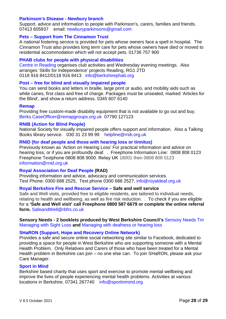#### **[Parkinson's Disease -](http://www.parkinsons.org.uk/newbury) Newbury branch**

Support, advice and information to people with Parkinson's, carers, families and friends. 07413 605937 email: [newburyparkinsons@gmail.com](mailto:newburyparkinsons@gmail.com)

#### **Pets – [Support from The Cinnamon Trust](https://cinnamon.org.uk/cinnamon-trust/)**

A national fostering service is provided for pets whose owners face a spell in hospital. The Cinnamon Trust also provides long term care for pets whose owners have died or moved to residential accommodation which will not accept pets. 01736 757 900

#### **[PHAB clubs for people with physical disabilities](http://www.berkshirephab.org/index.html)**

[Centre in Reading](http://www.reading.phabclub.org/) organises club activities and Wednesday evening meetings. Also arranges 'Skills for Independence' projects Reading, RG1 2TD [0118 916 8412](tel:0118%20916%208412)[/0118 916 8413](tel:0118%20916%208413) [info@berkshirephab.org](mailto:info@berkshirephab.org)

#### **Post – [free for blind and visually impaired people](http://www.royalmail.com/personal/uk-delivery/articles-for-the-blind)**

You can send books and letters in braille, large print or audio, and mobility aids such as white canes, first class and free of charge. Packages must be unsealed, marked 'Articles for the Blind', and show a return address. 0345 607 6140

#### **[Remap](https://berkshire.remap.org.uk/)**

Providing free custom-made disability equipment that is not available to go out and buy. [Berks.CaseOfficer@remapgroups.org.uk](mailto:Berks.CaseOfficer@remapgroups.org.uk) 07790 127123

#### **[RNIB \(Action for Blind People\)](https://www.royaldeaf.org.uk/about-us/what-we-do/)**

National Society for visually impaired people offers support and information. Also a Talking Books library service. 030 31 23 99 99 [helpline@rnib.org.uk](mailto:helpline@rnib.org.uk)

#### **[RNID \(for deaf people and those with hearing loss or tinnitus\)](https://rnid.org.uk/information-and-support/)**

Previously known as 'Action on Hearing Loss' For practical information and advice on hearing loss, or if you are profoundly deaf. . Freephone Information Line: 0808 808 0123 Freephone Textphone 0808 808 9000. **Relay UK** 18001 then 0808 808 0123 [information@rnid.org.uk](mailto:information@rnid.org.uk)

#### **[Royal Association for Deaf People](https://www.royaldeaf.org.uk/about-us/what-we-do/) (RAD)**

Providing information and advice, advocacy and communication services. Text Phone: 0300 688 2525, Text phone 0300 688 2527, [info@royaldeaf.org.uk](mailto:info@royaldeaf.org.uk)

#### **[Royal Berkshire Fire and Rescue Service](https://www.rbfrs.co.uk/your-safety/safety-at-home/) – Safe and well service**

Safe and Well visits, provided free to eligible residents, are tailored to individual needs, relating to health and wellbeing, as well as fire risk reduction. . To check if you are eligible for a **'Safe and Well visit' call Freephone 0800 587 6679 or complete the online referral form.** [SafeandWell@rbfrs.co.uk](mailto:SafeandWell@rbfrs.co.uk)

#### **Sensory Needs - 2 booklets produced by West Berkshire Council's** [Sensory Needs Tm](https://info.westberks.gov.uk/article/28738/Sensory-Needs) [Managing with Sight Loss](https://info.westberks.gov.uk/CHttpHandler.ashx?id=26517&p=0) **and** [Managing with deafness or hearing loss](https://info.westberks.gov.uk/CHttpHandler.ashx?id=43519&p=0)

#### **[SHaRON \(Support, Hope and Recovery Online Network\)](https://www.berkshirehealthcare.nhs.uk/our-services/other-services/sharon/)**

Provides a safe and secure online social networking site similar to Facebook, dedicated to providing a space for people in West Berkshire who are supporting someone with a Mental Health Problem. Only Relatives and Carers of those who have been treated for a Mental Health problem in Berkshire can join – no one else can. To join SHaRON, please ask your Care Manager.

#### **[Sport in Mind](https://www.sportinmind.org/)**

Berkshire based charity that uses sport and exercise to promote mental wellbeing and improve the lives of people experiencing mental health problems. Activities at various locations in Berkshire. 07341 267740 [info@sportinmind.org](mailto:info@sportinmind.org)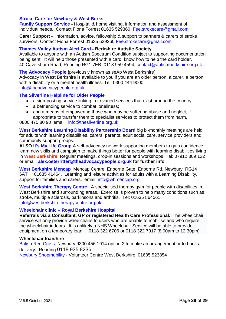#### **[Stroke Care for Newbury & West Berks](http://strokecarenewbury.org.uk/)**

**[Family Support Service -](http://strokecarenewbury.org.uk/home/83-2)** Hospital & home visiting, information and assessment of individual needs. Contact Fiona Forrest 01635 529360 [Fee.strokecare@gmail.com](mailto:Fee.strokecare@gmail.com)

**Carer Support -** Information, advice, fellowship & support to partners & carers of stroke survivors, Contact Fiona Forrest 01635 529360 [Fee.strokecare@gmail.com](mailto:Fee.strokecare@gmail.com)

#### **[Thames Valley Autism Alert Card -](https://www.autismberkshire.org.uk/thames-valley-autism-alert-card/) Berkshire Autistic Society**

Available to anyone with an Autism Spectrum Condition subject to supporting documentation being sent. It will help those presented with a card, know how to help the card holder. 40 Caversham Road, Reading RG1 7EB 0118 959 4594, [contact@autismberkshire.org.uk](mailto:contact@autismberkshire.org.uk)

**[The Advocacy People](https://www.theadvocacypeople.org.uk/service-delivery-areas/west-berkshire) (**previously known as seAp West Berkshire) Advocacy in West Berkshire is available to you if you are an older person, a carer, a person with a disability or a mental health illness. Tel: 0300 444 9000 [info@theadvocacypeople.org.uk](mailto:info@theadvocacypeople.org.uk)

#### **[The Silverline Helpline for Older People](http://www.thesilverline.org.uk/)**

- a sign-posting service linking in to varied services that exist around the country;
- a befriending service to combat loneliness;
- and a means of empowering those who may be suffering abuse and neglect, if appropriate to transfer them to specialist services to protect them from harm.

[0800 470 80 90](tel:0800%204%2070%2080%2090) email: [info@thesilverline.org.uk](mailto:info@thesilverline.org.uk)

**[West Berkshire Learning Disability Partnership Board](https://www.theadvocacypeople.org.uk/services/self-advocacy-groups)** big bi-monthly meetings are held for adults with learning disabilities, carers, parents, adult social care, service providers and community support groups.

**ALSO [It's My Life](https://www.seap.org.uk/services/self-advocacy-groups/) Group** A self-advocacy network supporting members to gain confidence, learn new skills and campaign to make things better for people with learning disabilities living in **West Berkshire**. Regular meetings, drop-in sessions and workshops. Tel: [07912 309 122](tel:07912%20309%20122) or email: **[alex.osterritter@theadvocacypeople.org.uk](mailto:alex.osterritter@theadvocacypeople.org.uk) for further info** 

**[West Berkshire Mencap](https://www.wbmencap.org/)** Mencap Centre, Enborne Gate, Enborne Rd, Newbury, RG14 6AT 01635 41464. Learning and leisure activities for adults with a Learning Disability, support for families and carers. email: [info@wbmencap.org](mailto:info@wbmencap.org)

**[West Berkshire Therapy Centre](http://www.westberkshiretherapycentre.org.uk/)** A specialised therapy gym for people with disabilities in West Berkshire and surrounding areas. Exercise is proven to help many conditions such as stroke, multiple sclerosis, parkinsons and arthritis. Tel: 01635 864561 [info@westberkshiretherapycentre.org.uk](mailto:info@westberkshiretherapycentre.org.uk)

#### **Wheelchair clinic – [Royal Berkshire Hospital](https://www.royalberkshire.nhs.uk/our-services/west-berkshire-wheelchair-clinic/)**

**Referrals via a Consultant, GP or registered Health Care Professional.** The wheelchair service will only provide wheelchairs to users who are unable to mobilise and who require the wheelchair indoors. It is unlikely a NHS Wheelchair Service will be able to provide equipment on a temporary loan. 0118 322 6706 or 0118 322 7017 (8:00am to 12.30pm)

#### **Wheelchair loan/hire**

[British Red Cross](https://www.redcross.org.uk/get-help/hire-a-wheelchair/find-your-local-wheelchair-service) Newbury [0300 456 1914 option 2](tel:0300%20456%201914%20option%202) to make an arrangement or to book a delivery. Reading [0118 935 8236](tel:0118%20935%208236)

[Newbury Shopmobility](https://www.volunteerwestberks.org.uk/our-services/shopmobility/) - Volunteer Centre West Berkshire 01635 523854